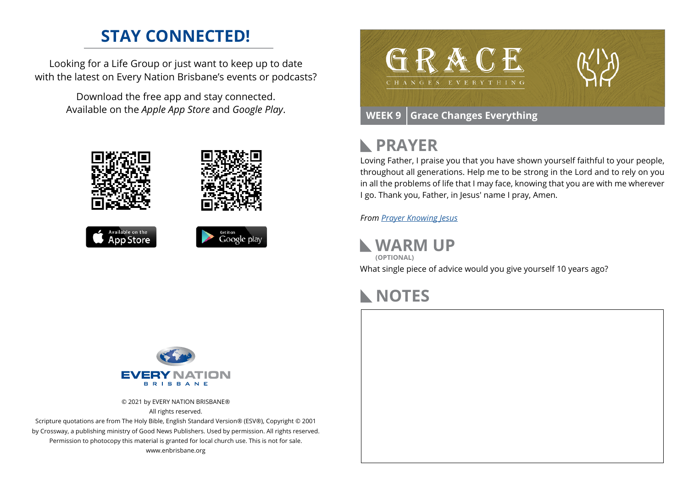# **STAY CONNECTED!**

Looking for a Life Group or just want to keep up to date with the latest on Every Nation Brisbane's events or podcasts?

> Download the free app and stay connected. Available on the *Apple App Store* and *Google Play*.









# **PRAYER**

Loving Father, I praise you that you have shown yourself faithful to your people, throughout all generations. Help me to be strong in the Lord and to rely on you in all the problems of life that I may face, knowing that you are with me wherever I go. Thank you, Father, in Jesus' name I pray, Amen.

*From [Prayer](https://prayer.knowing-jesus.com/Romans/11) Knowing Jesus*

**WARM UP (OPTIONAL)**

What single piece of advice would you give yourself 10 years ago?

## **NOTES**



© 2021 by EVERY NATION BRISBANE® All rights reserved.

Scripture quotations are from The Holy Bible, English Standard Version® (ESV®), Copyright © 2001 by Crossway, a publishing ministry of Good News Publishers. Used by permission. All rights reserved. Permission to photocopy this material is granted for local church use. This is not for sale. www.enbrisbane.org